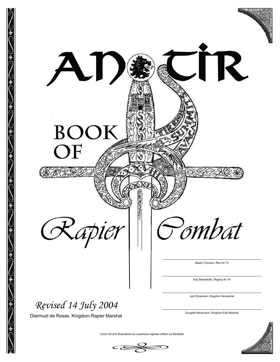



Skapti Torinson, Rex An Tir

TR.

Asa Starradottir, Regina An Tir

Ljotr Einarsson, Kingdom Seneschal

Dungadr Ravensfuri, Kingdom Earl Marshal

Cover Art and Illustrations by Lasairiona inghean Uilliam na Seoltadh

C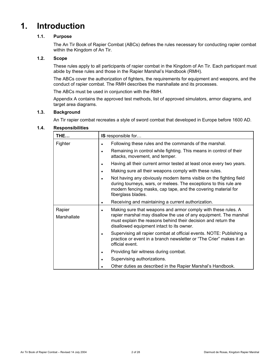# **1. Introduction**

# **1.1. Purpose**

The An Tir Book of Rapier Combat (ABCs) defines the rules necessary for conducting rapier combat within the Kingdom of An Tir.

### **1.2. Scope**

These rules apply to all participants of rapier combat in the Kingdom of An Tir. Each participant must abide by these rules and those in the Rapier Marshal's Handbook (RMH).

The ABCs cover the authorization of fighters, the requirements for equipment and weapons, and the conduct of rapier combat. The RMH describes the marshallate and its processes.

The ABCs must be used in conjunction with the RMH.

Appendix A contains the approved test methods, list of approved simulators, armor diagrams, and target area diagrams.

#### **1.3. Background**

An Tir rapier combat recreates a style of sword combat that developed in Europe before 1600 AD.

#### **1.4. Responsibilities**

| THE                   | IS responsible for                                                                                                                                                                                                              |  |  |
|-----------------------|---------------------------------------------------------------------------------------------------------------------------------------------------------------------------------------------------------------------------------|--|--|
| Fighter               | Following these rules and the commands of the marshal.<br>$\bullet$                                                                                                                                                             |  |  |
|                       | Remaining in control while fighting. This means in control of their<br>$\bullet$<br>attacks, movement, and temper.                                                                                                              |  |  |
|                       | Having all their current armor tested at least once every two years.                                                                                                                                                            |  |  |
|                       | Making sure all their weapons comply with these rules.                                                                                                                                                                          |  |  |
|                       | Not having any obviously modern items visible on the fighting field<br>during tourneys, wars, or melees. The exceptions to this rule are<br>modern fencing masks, cap tape, and the covering material for<br>fiberglass blades. |  |  |
|                       | Receiving and maintaining a current authorization.<br>$\bullet$                                                                                                                                                                 |  |  |
| Rapier<br>Marshallate | Making sure that weapons and armor comply with these rules. A<br>$\bullet$<br>rapier marshal may disallow the use of any equipment. The marshal<br>must explain the reasons behind their decision and return the                |  |  |
|                       | disallowed equipment intact to its owner.                                                                                                                                                                                       |  |  |
|                       | Supervising all rapier combat at official events. NOTE: Publishing a<br>$\bullet$<br>practice or event in a branch newsletter or "The Crier" makes it an<br>official event.                                                     |  |  |
|                       | Providing fair witness during combat.                                                                                                                                                                                           |  |  |
|                       | Supervising authorizations.                                                                                                                                                                                                     |  |  |
|                       | Other duties as described in the Rapier Marshal's Handbook.                                                                                                                                                                     |  |  |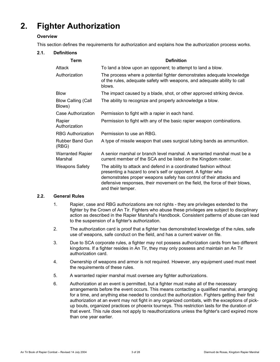# **2. Fighter Authorization**

# **Overview**

This section defines the requirements for authorization and explains how the authorization process works.

# **2.1. Definitions**

| Term                                | <b>Definition</b>                                                                                                                                                                                                                                                                                            |  |  |
|-------------------------------------|--------------------------------------------------------------------------------------------------------------------------------------------------------------------------------------------------------------------------------------------------------------------------------------------------------------|--|--|
| Attack                              | To land a blow upon an opponent; to attempt to land a blow.                                                                                                                                                                                                                                                  |  |  |
| Authorization                       | The process where a potential fighter demonstrates adequate knowledge<br>of the rules, adequate safety with weapons, and adequate ability to call<br>blows.                                                                                                                                                  |  |  |
| <b>Blow</b>                         | The impact caused by a blade, shot, or other approved striking device.                                                                                                                                                                                                                                       |  |  |
| <b>Blow Calling (Call</b><br>Blows) | The ability to recognize and properly acknowledge a blow.                                                                                                                                                                                                                                                    |  |  |
| Case Authorization                  | Permission to fight with a rapier in each hand.                                                                                                                                                                                                                                                              |  |  |
| Rapier<br>Authorization             | Permission to fight with any of the basic rapier weapon combinations.                                                                                                                                                                                                                                        |  |  |
| <b>RBG Authorization</b>            | Permission to use an RBG.                                                                                                                                                                                                                                                                                    |  |  |
| Rubber Band Gun<br>(RBG)            | A type of missile weapon that uses surgical tubing bands as ammunition.                                                                                                                                                                                                                                      |  |  |
| <b>Warranted Rapier</b><br>Marshal  | A senior marshal or branch level marshal. A warranted marshal must be a<br>current member of the SCA and be listed on the Kingdom roster.                                                                                                                                                                    |  |  |
| <b>Weapons Safety</b>               | The ability to attack and defend in a coordinated fashion without<br>presenting a hazard to one's self or opponent. A fighter who<br>demonstrates proper weapons safety has control of their attacks and<br>defensive responses, their movement on the field, the force of their blows,<br>and their temper. |  |  |

#### **2.2. General Rules**

- 1. Rapier, case and RBG authorizations are not rights they are privileges extended to the fighter by the Crown of An Tir. Fighters who abuse these privileges are subject to disciplinary action as described in the Rapier Marshal's Handbook. Consistent patterns of abuse can lead to the suspension of a fighter's authorization.
- 2. The authorization card is proof that a fighter has demonstrated knowledge of the rules, safe use of weapons, safe conduct on the field, and has a current waiver on file.
- 3. Due to SCA corporate rules, a fighter may not possess authorization cards from two different kingdoms. If a fighter resides in An Tir, they may only possess and maintain an An Tir authorization card.
- 4. Ownership of weapons and armor is not required. However, any equipment used must meet the requirements of these rules.
- 5. A warranted rapier marshal must oversee any fighter authorizations.
- 6. Authorization at an event is permitted, but a fighter must make all of the necessary arrangements before the event occurs. This means contacting a qualified marshal, arranging for a time, and anything else needed to conduct the authorization. Fighters getting their first authorization at an event may not fight in any organized combats, with the exceptions of pickup bouts, organized practices or phoenix tourneys. This restriction lasts for the duration of that event. This rule does not apply to reauthorizations unless the fighter's card expired more than one year earlier.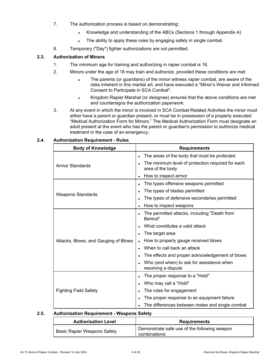- 7. The authorization process is based on demonstrating:
	- Knowledge and understanding of the ABCs (Sections 1 through Appendix A)
	- The ability to apply these rules by engaging safely in single combat
- 8. Temporary ("Day") fighter authorizations are not permitted.

# **2.3. Authorization of Minors**

- 1. The minimum age for training and authorizing in rapier combat is 16.
- 2. Minors under the age of 18 may train and authorize, provided these conditions are met:
	- The parents (or guardians) of the minor witness rapier combat, are aware of the risks inherent in this martial art, and have executed a "Minor's Waiver and Informed Consent to Participate in SCA Combat".
	- Kingdom Rapier Marshal (or designee) ensures that the above conditions are met and countersigns the authorization paperwork.
- 3. At any event in which the minor is involved in SCA Combat-Related Activities the minor must either have a parent or guardian present, or must be in possession of a properly executed "Medical Authorization Form for Minors." The Medical Authorization Form must designate an adult present at the event who has the parent or guardian's permission to authorize medical treatment in the case of an emergency.

| <b>Body of Knowledge</b>             | <b>Requirements</b>                                                   |  |  |
|--------------------------------------|-----------------------------------------------------------------------|--|--|
|                                      | The areas of the body that must be protected                          |  |  |
| Armor Standards                      | The minimum level of protection required for each<br>area of the body |  |  |
|                                      | How to inspect armor                                                  |  |  |
|                                      | The types offensive weapons permitted                                 |  |  |
| <b>Weapons Standards</b>             | The types of blades permitted                                         |  |  |
|                                      | The types of defensive secondaries permitted                          |  |  |
|                                      | How to inspect weapons                                                |  |  |
|                                      | The permitted attacks, including "Death from<br>Behind"               |  |  |
|                                      | What constitutes a valid attack                                       |  |  |
|                                      | The target area                                                       |  |  |
| Attacks, Blows, and Gauging of Blows | How to properly gauge received blows                                  |  |  |
|                                      | When to call back an attack                                           |  |  |
|                                      | The effects and proper acknowledgement of blows                       |  |  |
|                                      | Who (and when) to ask for assistance when<br>resolving a dispute      |  |  |
|                                      | The proper response to a "Hold"                                       |  |  |
|                                      | Who may call a "Hold"                                                 |  |  |
| <b>Fighting Field Safety</b>         | The rules for engagement                                              |  |  |
|                                      | The proper response to an equipment failure                           |  |  |
|                                      | The differences between melee and single combat                       |  |  |

#### **2.4. Authorization Requirement - Rules**

#### **2.5. Authorization Requirement - Weapons Safety**

| <b>Authorization Level</b>  | <b>Requirements</b>                                           |
|-----------------------------|---------------------------------------------------------------|
| Basic Rapier Weapons Safety | Demonstrate safe use of the following weapon<br>combinations: |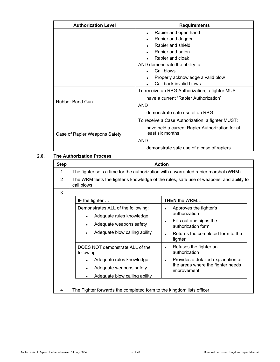| <b>Authorization Level</b>    | <b>Requirements</b>                                                 |  |
|-------------------------------|---------------------------------------------------------------------|--|
|                               | Rapier and open hand                                                |  |
|                               | Rapier and dagger                                                   |  |
|                               | Rapier and shield<br>٠                                              |  |
|                               | Rapier and baton                                                    |  |
|                               | Rapier and cloak                                                    |  |
|                               | AND demonstrate the ability to:                                     |  |
|                               | Call blows                                                          |  |
|                               | Properly acknowledge a valid blow                                   |  |
|                               | Call back invalid blows                                             |  |
|                               | To receive an RBG Authorization, a fighter MUST:                    |  |
|                               | have a current "Rapier Authorization"                               |  |
| <b>Rubber Band Gun</b>        | <b>AND</b>                                                          |  |
|                               | demonstrate safe use of an RBG.                                     |  |
|                               | To receive a Case Authorization, a fighter MUST:                    |  |
| Case of Rapier Weapons Safety | have held a current Rapier Authorization for at<br>least six months |  |
|                               | AND                                                                 |  |
|                               | demonstrate safe use of a case of rapiers                           |  |

#### **2.6. The Authorization Process**

| <b>Step</b>    | <b>Action</b>                                                                                                                                                     |                                                                                                                                                                 |  |  |
|----------------|-------------------------------------------------------------------------------------------------------------------------------------------------------------------|-----------------------------------------------------------------------------------------------------------------------------------------------------------------|--|--|
| 1              | The fighter sets a time for the authorization with a warranted rapier marshal (WRM).                                                                              |                                                                                                                                                                 |  |  |
| $\overline{2}$ | The WRM tests the fighter's knowledge of the rules, safe use of weapons, and ability to<br>call blows.                                                            |                                                                                                                                                                 |  |  |
| 3              | IF the fighter $\dots$<br>Demonstrates ALL of the following:<br>Adequate rules knowledge<br>$\bullet$<br>Adequate weapons safety<br>Adequate blow calling ability | <b>THEN</b> the WRM<br>Approves the fighter's<br>authorization<br>Fills out and signs the<br>authorization form<br>Returns the completed form to the<br>fighter |  |  |
|                | DOES NOT demonstrate ALL of the<br>following:<br>Adequate rules knowledge<br>Adequate weapons safety<br>Adequate blow calling ability                             | Refuses the fighter an<br>authorization<br>Provides a detailed explanation of<br>$\bullet$<br>the areas where the fighter needs<br>improvement                  |  |  |
| 4              | The Fighter forwards the completed form to the kingdom lists officer                                                                                              |                                                                                                                                                                 |  |  |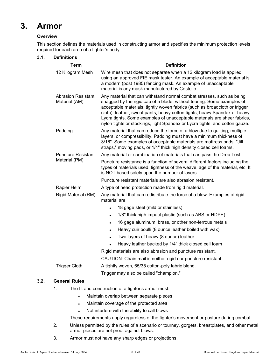# **3. Armor**

# **Overview**

This section defines the materials used in constructing armor and specifies the minimum protection levels required for each area of a fighter's body.

#### **3.1. Definitions**

| <b>Term</b>                                | <b>Definition</b>                                                                                                                                                                                                                                                                                                                                                                                                                                                     |  |  |  |
|--------------------------------------------|-----------------------------------------------------------------------------------------------------------------------------------------------------------------------------------------------------------------------------------------------------------------------------------------------------------------------------------------------------------------------------------------------------------------------------------------------------------------------|--|--|--|
| 12 Kilogram Mesh                           | Wire mesh that does not separate when a 12 kilogram load is applied<br>using an approved FIE mask tester. An example of acceptable material is<br>a modern (post 1985) fencing mask. An example of unacceptable<br>material is any mask manufactured by Costello.                                                                                                                                                                                                     |  |  |  |
| <b>Abrasion Resistant</b><br>Material (AM) | Any material that can withstand normal combat stresses, such as being<br>snagged by the rigid cap of a blade, without tearing. Some examples of<br>acceptable materials: tightly woven fabrics (such as broadcloth or trigger<br>cloth), leather, sweat pants, heavy cotton tights, heavy Spandex or heavy<br>Lycra tights. Some examples of unacceptable materials are sheer fabrics,<br>nylon tights or stockings, light Spandex or Lycra tights, and cotton gauze. |  |  |  |
| Padding                                    | Any material that can reduce the force of a blow due to quilting, multiple<br>layers, or compressibility. Padding must have a minimum thickness of<br>3/16". Some examples of acceptable materials are mattress pads, "Jill<br>straps," moving pads, or 1/4" thick high density closed cell foams.                                                                                                                                                                    |  |  |  |
| <b>Puncture Resistant</b>                  | Any material or combination of materials that can pass the Drop Test.                                                                                                                                                                                                                                                                                                                                                                                                 |  |  |  |
| Material (PM)                              | Puncture resistance is a function of several different factors including the<br>types of materials used, tightness of the weave, age of the material, etc. It<br>is NOT based solely upon the number of layers.                                                                                                                                                                                                                                                       |  |  |  |
|                                            | Puncture resistant materials are also abrasion resistant.                                                                                                                                                                                                                                                                                                                                                                                                             |  |  |  |
| Rapier Helm                                | A type of head protection made from rigid material.                                                                                                                                                                                                                                                                                                                                                                                                                   |  |  |  |
| Rigid Material (RM)                        | Any material that can redistribute the force of a blow. Examples of rigid<br>material are:                                                                                                                                                                                                                                                                                                                                                                            |  |  |  |
|                                            | 18 gage steel (mild or stainless)                                                                                                                                                                                                                                                                                                                                                                                                                                     |  |  |  |
|                                            | 1/8" thick high impact plastic (such as ABS or HDPE)<br>$\bullet$                                                                                                                                                                                                                                                                                                                                                                                                     |  |  |  |
|                                            | 16 gage aluminum, brass, or other non-ferrous metals<br>$\bullet$                                                                                                                                                                                                                                                                                                                                                                                                     |  |  |  |
|                                            | Heavy cuir boulli (8 ounce leather boiled with wax)<br>$\bullet$                                                                                                                                                                                                                                                                                                                                                                                                      |  |  |  |
|                                            | Two layers of heavy (8 ounce) leather                                                                                                                                                                                                                                                                                                                                                                                                                                 |  |  |  |
|                                            | Heavy leather backed by 1/4" thick closed cell foam                                                                                                                                                                                                                                                                                                                                                                                                                   |  |  |  |
|                                            | Rigid materials are also abrasion and puncture resistant.                                                                                                                                                                                                                                                                                                                                                                                                             |  |  |  |
|                                            | CAUTION: Chain mail is neither rigid nor puncture resistant.                                                                                                                                                                                                                                                                                                                                                                                                          |  |  |  |
| <b>Trigger Cloth</b>                       | A tightly woven, 65/35 cotton-poly fabric blend.                                                                                                                                                                                                                                                                                                                                                                                                                      |  |  |  |
|                                            | Trigger may also be called "champion."                                                                                                                                                                                                                                                                                                                                                                                                                                |  |  |  |

#### **3.2. General Rules**

- 1. The fit and construction of a fighter's armor must:
	- Maintain overlap between separate pieces
	- Maintain coverage of the protected area
	- Not interfere with the ability to call blows

These requirements apply regardless of the fighter's movement or posture during combat.

- 2. Unless permitted by the rules of a scenario or tourney, gorgets, breastplates, and other metal armor pieces are not proof against blows.
- 3. Armor must not have any sharp edges or projections.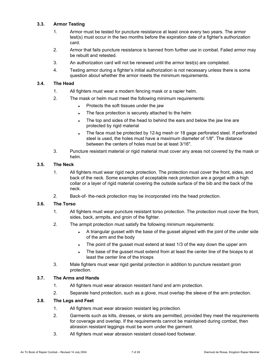# **3.3. Armor Testing**

- 1. Armor must be tested for puncture resistance at least once every two years. The armor test(s) must occur in the two months before the expiration date of a fighter's authorization card.
- 2. Armor that fails puncture resistance is banned from further use in combat. Failed armor may be rebuilt and retested.
- 3. An authorization card will not be renewed until the armor test(s) are completed.
- 4. Testing armor during a fighter's initial authorization is not necessary unless there is some question about whether the armor meets the minimum requirements.

# **3.4. The Head**

- 1. All fighters must wear a modern fencing mask or a rapier helm.
- 2. The mask or helm must meet the following minimum requirements:
	- Protects the soft tissues under the jaw
	- The face protection is securely attached to the helm
	- The top and sides of the head to behind the ears and below the jaw line are protected by rigid material
	- The face must be protected by 12-kg mesh or 18 gage perforated steel. If perforated steel is used, the holes must have a maximum diameter of 1/8". The distance between the centers of holes must be at least 3/16".
- 3. Puncture resistant material or rigid material must cover any areas not covered by the mask or helm.

#### **3.5. The Neck**

- 1. All fighters must wear rigid neck protection. The protection must cover the front, sides, and back of the neck. Some examples of acceptable neck protection are a gorget with a high collar or a layer of rigid material covering the outside surface of the bib and the back of the neck.
- 2. Back-of- the-neck protection may be incorporated into the head protection.

### **3.6. The Torso**

- 1. All fighters must wear puncture resistant torso protection. The protection must cover the front, sides, back, armpits, and groin of the fighter.
- 2. The armpit protection must satisfy the following minimum requirements:
	- A triangular gusset with the base of the gusset aligned with the joint of the under side of the arm and the body
	- The point of the gusset must extend at least 1/3 of the way down the upper arm
	- The base of the gusset must extend from at least the center line of the biceps to at least the center line of the triceps
- 3. Male fighters must wear rigid genital protection in addition to puncture resistant groin protection.

#### **3.7. The Arms and Hands**

- 1. All fighters must wear abrasion resistant hand and arm protection.
- 2. Separate hand protection, such as a glove, must overlap the sleeve of the arm protection.

#### **3.8. The Legs and Feet**

- 1. All fighters must wear abrasion resistant leg protection.
- 2. Garments such as kilts, dresses, or skirts are permitted, provided they meet the requirements for coverage and overlap. If the requirements cannot be maintained during combat, then abrasion resistant leggings must be worn under the garment.
- 3. All fighters must wear abrasion resistant closed-toed footwear.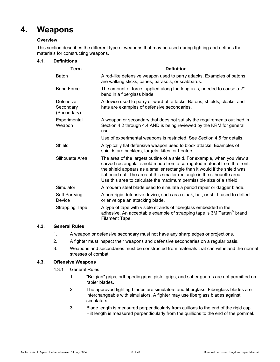# **4. Weapons**

### **Overview**

This section describes the different type of weapons that may be used during fighting and defines the materials for constructing weapons.

#### **4.1. Definitions**

| <b>Term</b>                           | <b>Definition</b>                                                                                                                                                                                                                                                                                                                                                                        |
|---------------------------------------|------------------------------------------------------------------------------------------------------------------------------------------------------------------------------------------------------------------------------------------------------------------------------------------------------------------------------------------------------------------------------------------|
| <b>Baton</b>                          | A rod-like defensive weapon used to parry attacks. Examples of batons<br>are walking sticks, canes, parasols, or scabbards.                                                                                                                                                                                                                                                              |
| <b>Bend Force</b>                     | The amount of force, applied along the long axis, needed to cause a 2"<br>bend in a fiberglass blade.                                                                                                                                                                                                                                                                                    |
| Defensive<br>Secondary<br>(Secondary) | A device used to parry or ward off attacks. Batons, shields, cloaks, and<br>hats are examples of defensive secondaries.                                                                                                                                                                                                                                                                  |
| Experimental<br>Weapon                | A weapon or secondary that does not satisfy the requirements outlined in<br>Section 4.2 through 4.4 AND is being reviewed by the KRM for general<br>use.                                                                                                                                                                                                                                 |
|                                       | Use of experimental weapons is restricted. See Section 4.5 for details.                                                                                                                                                                                                                                                                                                                  |
| Shield                                | A typically flat defensive weapon used to block attacks. Examples of<br>shields are bucklers, targets, kites, or heaters.                                                                                                                                                                                                                                                                |
| Silhouette Area                       | The area of the largest outline of a shield. For example, when you view a<br>curved rectangular shield made from a corrugated material from the front,<br>the shield appears as a smaller rectangle than it would if the shield was<br>flattened out. The area of this smaller rectangle is the silhouette area.<br>Use this area to calculate the maximum permissible size of a shield. |
| Simulator                             | A modern steel blade used to simulate a period rapier or dagger blade.                                                                                                                                                                                                                                                                                                                   |
| Soft Parrying<br>Device               | A non-rigid defensive device, such as a cloak, hat, or shirt, used to deflect<br>or envelope an attacking blade.                                                                                                                                                                                                                                                                         |
| <b>Strapping Tape</b>                 | A type of tape with visible strands of fiberglass embedded in the<br>adhesive. An acceptable example of strapping tape is 3M Tartan <sup>®</sup> brand<br>Filament Tape.                                                                                                                                                                                                                 |

# **4.2. General Rules**

- 1. A weapon or defensive secondary must not have any sharp edges or projections.
- 2. A fighter must inspect their weapons and defensive secondaries on a regular basis.
- 3. Weapons and secondaries must be constructed from materials that can withstand the normal stresses of combat.

#### **4.3. Offensive Weapons**

- 4.3.1 General Rules
	- 1. "Belgian" grips, orthopedic grips, pistol grips, and saber guards are not permitted on rapier blades.
	- 2. The approved fighting blades are simulators and fiberglass. Fiberglass blades are interchangeable with simulators. A fighter may use fiberglass blades against simulators.
	- 3. Blade length is measured perpendicularly from quillons to the end of the rigid cap. Hilt length is measured perpendicularly from the quillions to the end of the pommel.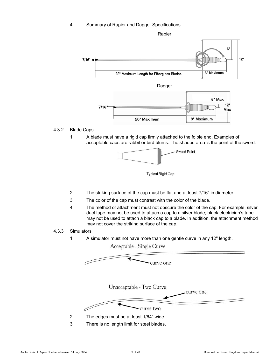4. Summary of Rapier and Dagger Specifications



#### 4.3.2 Blade Caps

1. A blade must have a rigid cap firmly attached to the foible end. Examples of acceptable caps are rabbit or bird blunts. The shaded area is the point of the sword.



**Typical Rigid Cap** 

- 2. The striking surface of the cap must be flat and at least 7/16" in diameter.
- 3. The color of the cap must contrast with the color of the blade.
- 4. The method of attachment must not obscure the color of the cap. For example, silver duct tape may not be used to attach a cap to a silver blade; black electrician's tape may not be used to attach a black cap to a blade. In addition, the attachment method may not cover the striking surface of the cap.

### 4.3.3 Simulators

1. A simulator must not have more than one gentle curve in any 12" length.

Acceptable - Single Curve

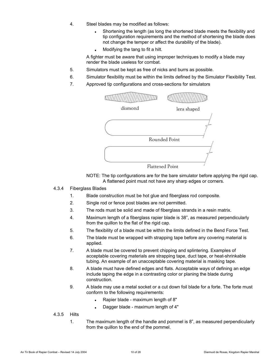- 4. Steel blades may be modified as follows:
	- Shortening the length (as long the shortened blade meets the flexibility and tip configuration requirements and the method of shortening the blade does not change the temper or affect the durability of the blade).
	- Modifying the tang to fit a hilt.

A fighter must be aware that using improper techniques to modify a blade may render the blade useless for combat.

- 5. Simulators must be kept as free of nicks and burrs as possible.
- 6. Simulator flexibility must be within the limits defined by the Simulator Flexibility Test.
- 7. Approved tip configurations and cross-sections for simulators







#### 4.3.4 Fiberglass Blades

- 1. Blade construction must be hot glue and fiberglass rod composite.
- 2. Single rod or fence post blades are not permitted.
- 3. The rods must be solid and made of fiberglass strands in a resin matrix.
- 4. Maximum length of a fiberglass rapier blade is 38", as measured perpendicularly from the quillon to the flat of the rigid cap.
- 5. The flexibility of a blade must be within the limits defined in the Bend Force Test.
- 6. The blade must be wrapped with strapping tape before any covering material is applied.
- 7. A blade must be covered to prevent chipping and splintering. Examples of acceptable covering materials are strapping tape, duct tape, or heat-shrinkable tubing. An example of an unacceptable covering material is masking tape.
- 8. A blade must have defined edges and flats. Acceptable ways of defining an edge include taping the edge in a contrasting color or planing the blade during construction.
- 9. A blade may use a metal socket or a cut down foil blade for a forte. The forte must conform to the following requirements:
	- Rapier blade maximum length of 8"
	- Dagger blade maximum length of 4"

#### 4.3.5 Hilts

1. The maximum length of the handle and pommel is 8", as measured perpendicularly from the quillon to the end of the pommel.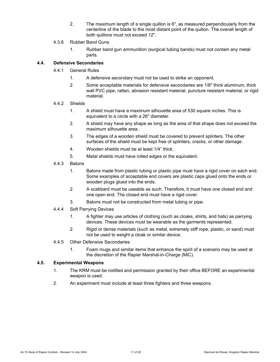2. The maximum length of a single quillon is 6", as measured perpendicularly from the centerline of the blade to the most distant point of the quillon. The overall length of both quillons must not exceed 12".

#### 4.3.6 Rubber Band Guns

1. Rubber band gun ammunition (surgical tubing bands) must not contain any metal parts.

#### **4.4. Defensive Secondaries**

# 4.4.1 General Rules

- 1. A defensive secondary must not be used to strike an opponent.
- 2. Some acceptable materials for defensive secondaries are 1/8" thick aluminum, thick wall PVC pipe, rattan, abrasion resistant material, puncture resistant material, or rigid material.

#### 4.4.2 Shields

- 1. A shield must have a maximum silhouette area of 530 square inches. This is equivalent to a circle with a 26" diameter.
- 2. A shield may have any shape as long as the area of that shape does not exceed the maximum silhouette area.
- 3. The edges of a wooden shield must be covered to prevent splinters. The other surfaces of the shield must be kept free of splinters, cracks, or other damage.
- 4. Wooden shields must be at least 1/4" thick.
- 5. Metal shields must have rolled edges or the equivalent.
- 4.4.3 Batons
	- 1. Batons made from plastic tubing or plastic pipe must have a rigid cover on each end. Some examples of acceptable end covers are plastic caps glued onto the ends or wooden plugs glued into the ends.
	- 2. A scabbard must be useable as such. Therefore, it must have one closed end and one open end. The closed end must have a rigid cover.
	- 3. Batons must not be constructed from metal tubing or pipe.
- 4.4.4 Soft Parrying Devices
	- 1. A fighter may use articles of clothing (such as cloaks, shirts, and hats) as parrying devices. These devices must be wearable as the garments represented.
	- 2. Rigid or dense materials (such as metal, extremely stiff rope, plastic, or sand) must not be used to weight a cloak or similar device.
- 4.4.5 Other Defensive Secondaries
	- 1. Foam mugs and similar items that enhance the spirit of a scenario may be used at the discretion of the Rapier Marshal-in-Charge (MiC).

#### **4.5. Experimental Weapons**

- 1. The KRM must be notified and permission granted by their office BEFORE an experimental weapon is used.
- 2. An experiment must include at least three fighters and three weapons.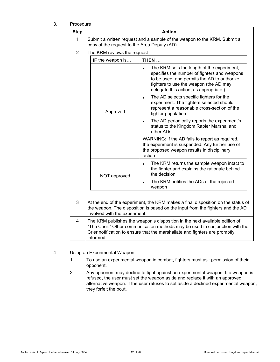| Proceaure<br><b>Step</b> | <b>Action</b>                                                                                                                                                                                                                                           |                                                                                                                                                                                                                               |  |
|--------------------------|---------------------------------------------------------------------------------------------------------------------------------------------------------------------------------------------------------------------------------------------------------|-------------------------------------------------------------------------------------------------------------------------------------------------------------------------------------------------------------------------------|--|
| 1                        | Submit a written request and a sample of the weapon to the KRM. Submit a<br>copy of the request to the Area Deputy (AD).                                                                                                                                |                                                                                                                                                                                                                               |  |
| $\overline{2}$           | The KRM reviews the request                                                                                                                                                                                                                             |                                                                                                                                                                                                                               |  |
|                          | IF the weapon is                                                                                                                                                                                                                                        | THEN                                                                                                                                                                                                                          |  |
|                          |                                                                                                                                                                                                                                                         | The KRM sets the length of the experiment,<br>specifies the number of fighters and weapons<br>to be used, and permits the AD to authorize<br>fighters to use the weapon (the AD may<br>delegate this action, as appropriate.) |  |
|                          | Approved                                                                                                                                                                                                                                                | The AD selects specific fighters for the<br>experiment. The fighters selected should<br>represent a reasonable cross-section of the<br>fighter population.                                                                    |  |
|                          |                                                                                                                                                                                                                                                         | The AD periodically reports the experiment's<br>$\bullet$<br>status to the Kingdom Rapier Marshal and<br>other ADs.                                                                                                           |  |
|                          |                                                                                                                                                                                                                                                         | WARNING: If the AD fails to report as required,<br>the experiment is suspended. Any further use of<br>the proposed weapon results in disciplinary<br>action.                                                                  |  |
|                          | NOT approved                                                                                                                                                                                                                                            | The KRM returns the sample weapon intact to<br>$\bullet$<br>the fighter and explains the rationale behind<br>the decision                                                                                                     |  |
|                          |                                                                                                                                                                                                                                                         | The KRM notifies the ADs of the rejected<br>$\bullet$<br>weapon                                                                                                                                                               |  |
|                          |                                                                                                                                                                                                                                                         |                                                                                                                                                                                                                               |  |
| 3                        | At the end of the experiment, the KRM makes a final disposition on the status of<br>the weapon. The disposition is based on the input from the fighters and the AD<br>involved with the experiment.                                                     |                                                                                                                                                                                                                               |  |
| 4                        | The KRM publishes the weapon's disposition in the next available edition of<br>"The Crier." Other communication methods may be used in conjunction with the<br>Crier notification to ensure that the marshallate and fighters are promptly<br>informed. |                                                                                                                                                                                                                               |  |

3. Procedu

#### 4. Using an Experimental Weapon

- 1. To use an experimental weapon in combat, fighters must ask permission of their opponent.
- 2. Any opponent may decline to fight against an experimental weapon. If a weapon is refused, the user must set the weapon aside and replace it with an approved alternative weapon. If the user refuses to set aside a declined experimental weapon, they forfeit the bout.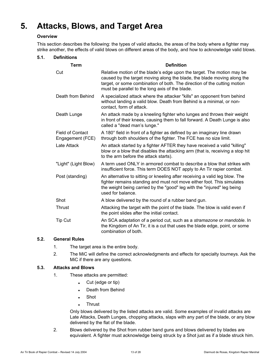# **5. Attacks, Blows, and Target Area**

#### **Overview**

This section describes the following: the types of valid attacks, the areas of the body where a fighter may strike another, the effects of valid blows on different areas of the body, and how to acknowledge valid blows.

#### **5.1. Definitions**

| <b>Term</b>                                 | <b>Definition</b>                                                                                                                                                                                                                                                                |  |  |
|---------------------------------------------|----------------------------------------------------------------------------------------------------------------------------------------------------------------------------------------------------------------------------------------------------------------------------------|--|--|
| Cut                                         | Relative motion of the blade's edge upon the target. The motion may be<br>caused by the target moving along the blade, the blade moving along the<br>target, or some combination of both. The direction of the cutting motion<br>must be parallel to the long axis of the blade. |  |  |
| Death from Behind                           | A specialized attack where the attacker "kills" an opponent from behind<br>without landing a valid blow. Death from Behind is a minimal, or non-<br>contact, form of attack.                                                                                                     |  |  |
| Death Lunge                                 | An attack made by a kneeling fighter who lunges and throws their weight<br>in front of their knees, causing them to fall forward. A Death Lunge is also<br>called a "dead man's lunge."                                                                                          |  |  |
| <b>Field of Contact</b><br>Engagement (FCE) | A 180° field in front of a fighter as defined by an imaginary line drawn<br>through both shoulders of the fighter. The FCE has no size limit.                                                                                                                                    |  |  |
| Late Attack                                 | An attack started by a fighter AFTER they have received a valid "killing"<br>blow or a blow that disables the attacking arm (that is, receiving a stop hit<br>to the arm before the attack starts).                                                                              |  |  |
| "Light" (Light Blow)                        | A term used ONLY in armored combat to describe a blow that strikes with<br>insufficient force. This term DOES NOT apply to An Tir rapier combat.                                                                                                                                 |  |  |
| Post (standing)                             | An alternative to sitting or kneeling after receiving a valid leg blow. The<br>fighter remains standing and must not move either foot. This simulates<br>the weight being carried by the "good" leg with the "injured" leg being<br>used for balance.                            |  |  |
| Shot                                        | A blow delivered by the round of a rubber band gun.                                                                                                                                                                                                                              |  |  |
| Thrust                                      | Attacking the target with the point of the blade. The blow is valid even if<br>the point slides after the initial contact.                                                                                                                                                       |  |  |
| Tip Cut                                     | An SCA adaptation of a period cut, such as a stramazone or mandoble. In<br>the Kingdom of An Tir, it is a cut that uses the blade edge, point, or some<br>combination of both.                                                                                                   |  |  |

#### **5.2. General Rules**

- 1. The target area is the entire body.
- 2. The MiC will define the correct acknowledgments and effects for specialty tourneys. Ask the MiC if there are any questions.

# **5.3. Attacks and Blows**

- 1. These attacks are permitted:
	- Cut (edge or tip)
	- Death from Behind
	- Shot
	- **Thrust**

Only blows delivered by the listed attacks are valid. Some examples of invalid attacks are Late Attacks, Death Lunges, chopping attacks, slaps with any part of the blade, or any blow delivered by the flat of the blade.

2. Blows delivered by the Shot from rubber band guns and blows delivered by blades are equivalent. A fighter must acknowledge being struck by a Shot just as if a blade struck him.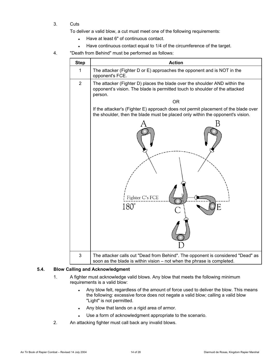3. Cuts

To deliver a valid blow, a cut must meet one of the following requirements:

- Have at least 6" of continuous contact.
- Have continuous contact equal to 1/4 of the circumference of the target.
- 4. "Death from Behind" must be performed as follows:

| <b>Step</b>    | <b>Action</b>                                                                                                                                                        |  |  |
|----------------|----------------------------------------------------------------------------------------------------------------------------------------------------------------------|--|--|
| 1              | The attacker (Fighter D or E) approaches the opponent and is NOT in the<br>opponent's FCE.                                                                           |  |  |
| $\overline{2}$ | The attacker (Fighter D) places the blade over the shoulder AND within the<br>opponent's vision. The blade is permitted touch to shoulder of the attacked<br>person. |  |  |
|                | <b>OR</b>                                                                                                                                                            |  |  |
|                | If the attacker's (Fighter E) approach does not permit placement of the blade over<br>the shoulder, then the blade must be placed only within the opponent's vision. |  |  |
|                | В                                                                                                                                                                    |  |  |
|                | Fighter C's FCE<br>180°<br>F                                                                                                                                         |  |  |
| 3              | The attacker calls out "Dead from Behind". The opponent is considered "Dead" as<br>soon as the blade is within vision - not when the phrase is completed.            |  |  |

#### **5.4. Blow Calling and Acknowledgment**

- 1. A fighter must acknowledge valid blows. Any blow that meets the following minimum requirements is a valid blow:
	- Any blow felt, regardless of the amount of force used to deliver the blow. This means the following: excessive force does not negate a valid blow; calling a valid blow "Light" is not permitted.
	- Any blow that lands on a rigid area of armor.
	- Use a form of acknowledgment appropriate to the scenario.
- 2. An attacking fighter must call back any invalid blows.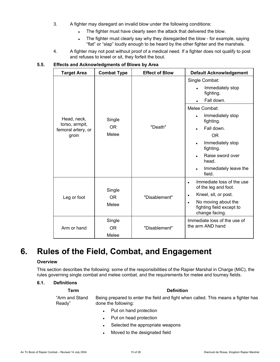- 3. A fighter may disregard an invalid blow under the following conditions:
	- The fighter must have clearly seen the attack that delivered the blow.
	- The fighter must clearly say why they disregarded the blow for example, saying "flat" or "slap" loudly enough to be heard by the other fighter and the marshals.
- 4. A fighter may not post without proof of a medical need. If a fighter does not qualify to post and refuses to kneel or sit, they forfeit the bout.

### **5.5. Effects and Acknowledgments of Blows by Area**

| <b>Target Area</b>                                           | <b>Combat Type</b>                                     | <b>Effect of Blow</b>          | <b>Default Acknowledgement</b>                                                                                                                                                                                                                           |
|--------------------------------------------------------------|--------------------------------------------------------|--------------------------------|----------------------------------------------------------------------------------------------------------------------------------------------------------------------------------------------------------------------------------------------------------|
| Head, neck,<br>torso, armpit,<br>femoral artery, or<br>groin | Single<br><b>OR</b><br>Melee                           | "Death"                        | Single Combat:<br>Immediately stop<br>fighting.<br>Fall down.<br>$\bullet$<br>Melee Combat:<br>Immediately stop<br>fighting.<br>Fall down.<br><b>OR</b><br>Immediately stop<br>fighting.<br>Raise sword over<br>head.<br>Immediately leave the<br>field. |
| Leg or foot<br>Arm or hand                                   | Single<br>OR.<br>Melee<br>Single<br><b>OR</b><br>Melee | "Disablement"<br>"Disablement" | Immediate loss of the use<br>of the leg and foot.<br>Kneel, sit, or post.<br>$\bullet$<br>No moving about the<br>$\bullet$<br>fighting field except to<br>change facing.<br>Immediate loss of the use of<br>the arm AND hand                             |

# **6. Rules of the Field, Combat, and Engagement**

#### **Overview**

This section describes the following: some of the responsibilities of the Rapier Marshal in Charge (MiC), the rules governing single combat and melee combat, and the requirements for melee and tourney fields.

#### **6.1. Definitions**

#### **Term Definition**

"Arm and Stand Ready" Being prepared to enter the field and fight when called. This means a fighter has done the following:

- Put on hand protection
- Put on head protection
- Selected the appropriate weapons
- Moved to the designated field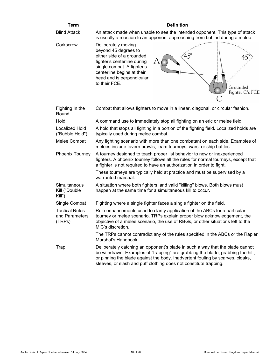| <b>Term</b>                                       | <b>Definition</b>                                                                                                                                                                                                                                                                                                       |  |
|---------------------------------------------------|-------------------------------------------------------------------------------------------------------------------------------------------------------------------------------------------------------------------------------------------------------------------------------------------------------------------------|--|
| <b>Blind Attack</b>                               | An attack made when unable to see the intended opponent. This type of attack<br>is usually a reaction to an opponent approaching from behind during a melee.                                                                                                                                                            |  |
| Corkscrew                                         | Deliberately moving<br>beyond 45 degrees to<br>$45^{\circ}$<br>either side of a grounded<br>fighter's centerline during<br>single combat. A fighter's<br>centerline begins at their<br>head and is perpendicular<br>to their FCE.<br>Grounded<br>Fighter C's FCE                                                        |  |
| Fighting In the<br>Round                          | Combat that allows fighters to move in a linear, diagonal, or circular fashion.                                                                                                                                                                                                                                         |  |
| Hold                                              | A command use to immediately stop all fighting on an eric or melee field.                                                                                                                                                                                                                                               |  |
| Localized Hold<br>("Bubble Hold")                 | A hold that stops all fighting in a portion of the fighting field. Localized holds are<br>typically used during melee combat.                                                                                                                                                                                           |  |
| Melee Combat                                      | Any fighting scenario with more than one combatant on each side. Examples of<br>melees include tavern brawls, team tourneys, wars, or ship battles.                                                                                                                                                                     |  |
| <b>Phoenix Tourney</b>                            | A tourney designed to teach proper list behavior to new or inexperienced<br>fighters. A phoenix tourney follows all the rules for normal tourneys, except that<br>a fighter is not required to have an authorization in order to fight.                                                                                 |  |
|                                                   | These tourneys are typically held at practice and must be supervised by a<br>warranted marshal.                                                                                                                                                                                                                         |  |
| Simultaneous<br>Kill ("Double<br>Kill")           | A situation where both fighters land valid "killing" blows. Both blows must<br>happen at the same time for a simultaneous kill to occur.                                                                                                                                                                                |  |
| Single Combat                                     | Fighting where a single fighter faces a single fighter on the field.                                                                                                                                                                                                                                                    |  |
| <b>Tactical Rules</b><br>and Parameters<br>(TRPs) | Rule enhancements used to clarify application of the ABCs for a particular<br>tourney or melee scenario. TRPs explain proper blow acknowledgement, the<br>objective of a melee scenario, the use of RBGs, or other situations left to the<br>MiC's discretion.                                                          |  |
|                                                   | The TRPs cannot contradict any of the rules specified in the ABCs or the Rapier<br>Marshal's Handbook.                                                                                                                                                                                                                  |  |
| <b>Trap</b>                                       | Deliberately catching an opponent's blade in such a way that the blade cannot<br>be withdrawn. Examples of "trapping" are grabbing the blade, grabbing the hilt,<br>or pinning the blade against the body. Inadvertent fouling by scarves, cloaks,<br>sleeves, or slash and puff clothing does not constitute trapping. |  |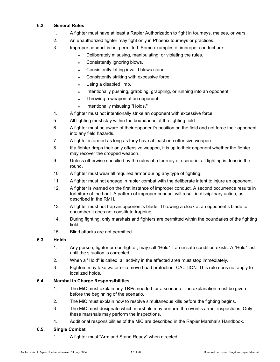### **6.2. General Rules**

- 1. A fighter must have at least a Rapier Authorization to fight in tourneys, melees, or wars.
- 2. An unauthorized fighter may fight only in Phoenix tourneys or practices.
- 3. Improper conduct is not permitted. Some examples of improper conduct are:
	- Deliberately misusing, manipulating, or violating the rules.
	- Consistently ignoring blows.
	- Consistently letting invalid blows stand.
	- Consistently striking with excessive force.
	- Using a disabled limb.
	- Intentionally pushing, grabbing, grappling, or running into an opponent.
	- Throwing a weapon at an opponent.
	- Intentionally misusing "Holds."
- 4. A fighter must not intentionally strike an opponent with excessive force.
- 5. All fighting must stay within the boundaries of the fighting field.
- 6. A fighter must be aware of their opponent's position on the field and not force their opponent into any field hazards.
- 7. A fighter is armed as long as they have at least one offensive weapon.
- 8. If a fighter drops their only offensive weapon, it is up to their opponent whether the fighter may recover the dropped weapon.
- 9. Unless otherwise specified by the rules of a tourney or scenario, all fighting is done in the round.
- 10. A fighter must wear all required armor during any type of fighting.
- 11. A fighter must not engage in rapier combat with the deliberate intent to injure an opponent.
- 12. A fighter is warned on the first instance of improper conduct. A second occurrence results in forfeiture of the bout. A pattern of improper conduct will result in disciplinary action, as described in the RMH.
- 13. A fighter must not trap an opponent's blade. Throwing a cloak at an opponent's blade to encumber it does not constitute trapping.
- 14. During fighting, only marshals and fighters are permitted within the boundaries of the fighting field.
- 15. Blind attacks are not permitted.

#### **6.3. Holds**

- 1. Any person, fighter or non-fighter, may call "Hold" if an unsafe condition exists. A "Hold" last until the situation is corrected.
- 2. When a "Hold" is called, all activity in the affected area must stop immediately.
- 3. Fighters may take water or remove head protection. CAUTION: This rule does not apply to localized holds.

#### **6.4. Marshal in Charge Responsibilities**

- 1. The MiC must explain any TRPs needed for a scenario. The explanation must be given before the beginning of the scenario.
- 2. The MiC must explain how to resolve simultaneous kills before the fighting begins.
- 3. The MiC must designate which marshals may perform the event's armor inspections. Only these marshals may perform the inspections.
- 4. Additional responsibilities of the MiC are described in the Rapier Marshal's Handbook.

#### **6.5. Single Combat**

1. A fighter must "Arm and Stand Ready" when directed.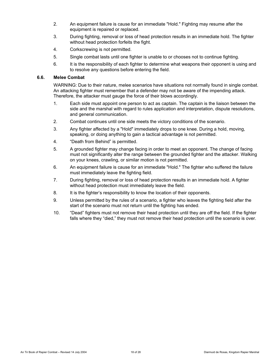- 2. An equipment failure is cause for an immediate "Hold." Fighting may resume after the equipment is repaired or replaced.
- 3. During fighting, removal or loss of head protection results in an immediate hold. The fighter without head protection forfeits the fight.
- 4. Corkscrewing is not permitted.
- 5. Single combat lasts until one fighter is unable to or chooses not to continue fighting.
- 6. It is the responsibility of each fighter to determine what weapons their opponent is using and to resolve any questions before entering the field.

#### **6.6. Melee Combat**

WARNING: Due to their nature, melee scenarios have situations not normally found in single combat. An attacking fighter must remember that a defender may not be aware of the impending attack. Therefore, the attacker must gauge the force of their blows accordingly.

- 1. Each side must appoint one person to act as captain. The captain is the liaison between the side and the marshal with regard to rules application and interpretation, dispute resolutions, and general communication.
- 2. Combat continues until one side meets the victory conditions of the scenario.
- 3. Any fighter affected by a "Hold" immediately drops to one knee. During a hold, moving, speaking, or doing anything to gain a tactical advantage is not permitted.
- 4. "Death from Behind" is permitted.
- 5. A grounded fighter may change facing in order to meet an opponent. The change of facing must not significantly alter the range between the grounded fighter and the attacker. Walking on your knees, crawling, or similar motion is not permitted.
- 6. An equipment failure is cause for an immediate "Hold." The fighter who suffered the failure must immediately leave the fighting field.
- 7. During fighting, removal or loss of head protection results in an immediate hold. A fighter without head protection must immediately leave the field.
- 8. It is the fighter's responsibility to know the location of their opponents.
- 9. Unless permitted by the rules of a scenario, a fighter who leaves the fighting field after the start of the scenario must not return until the fighting has ended.
- 10. "Dead" fighters must not remove their head protection until they are off the field. If the fighter falls where they "died," they must not remove their head protection until the scenario is over.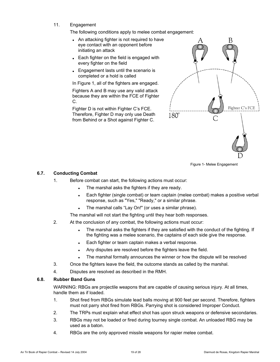11. Engagement

The following conditions apply to melee combat engagement:

- An attacking fighter is not required to have eye contact with an opponent before initiating an attack
- Each fighter on the field is engaged with every fighter on the field
- Engagement lasts until the scenario is completed or a hold is called

In Figure 1, all of the fighters are engaged.

Fighters A and B may use any valid attack because they are within the FCE of Fighter C.

Fighter D is not within Fighter C's FCE. Therefore, Fighter D may only use Death from Behind or a Shot against Fighter C.



Figure 1- Melee Engagement

#### **6.7. Conducting Combat**

- 1. Before combat can start, the following actions must occur:
	- The marshal asks the fighters if they are ready.
	- Each fighter (single combat) or team captain (melee combat) makes a positive verbal response, such as "Yes," "Ready," or a similar phrase.
	- The marshal calls "Lay On!" (or uses a similar phrase).

The marshal will not start the fighting until they hear both responses.

- 2. At the conclusion of any combat, the following actions must occur:
	- The marshal asks the fighters if they are satisfied with the conduct of the fighting. If the fighting was a melee scenario, the captains of each side give the response.
	- Each fighter or team captain makes a verbal response.
	- Any disputes are resolved before the fighters leave the field.
	- The marshal formally announces the winner or how the dispute will be resolved
- 3. Once the fighters leave the field, the outcome stands as called by the marshal.
- 4. Disputes are resolved as described in the RMH.

#### **6.8. Rubber Band Guns**

WARNING: RBGs are projectile weapons that are capable of causing serious injury. At all times, handle them as if loaded.

- 1. Shot fired from RBGs simulate lead balls moving at 900 feet per second. Therefore, fighters must not parry shot fired from RBGs. Parrying shot is considered Improper Conduct.
- 2. The TRPs must explain what effect shot has upon struck weapons or defensive secondaries.
- 3. RBGs may not be loaded or fired during tourney single combat. An unloaded RBG may be used as a baton.
- 4. RBGs are the only approved missile weapons for rapier melee combat.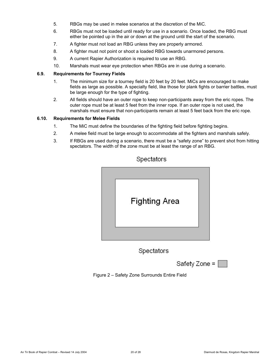- 5. RBGs may be used in melee scenarios at the discretion of the MiC.
- 6. RBGs must not be loaded until ready for use in a scenario. Once loaded, the RBG must either be pointed up in the air or down at the ground until the start of the scenario.
- 7. A fighter must not load an RBG unless they are properly armored.
- 8. A fighter must not point or shoot a loaded RBG towards unarmored persons.
- 9. A current Rapier Authorization is required to use an RBG.
- 10. Marshals must wear eye protection when RBGs are in use during a scenario.

#### **6.9. Requirements for Tourney Fields**

- 1. The minimum size for a tourney field is 20 feet by 20 feet. MiCs are encouraged to make fields as large as possible. A specialty field, like those for plank fights or barrier battles, must be large enough for the type of fighting.
- 2. All fields should have an outer rope to keep non-participants away from the eric ropes. The outer rope must be at least 5 feet from the inner rope. If an outer rope is not used, the marshals must ensure that non-participants remain at least 5 feet back from the eric rope.

#### **6.10. Requirements for Melee Fields**

- 1. The MiC must define the boundaries of the fighting field before fighting begins.
- 2. A melee field must be large enough to accommodate all the fighters and marshals safely.
- 3. If RBGs are used during a scenario, there must be a "safety zone" to prevent shot from hitting spectators. The width of the zone must be at least the range of an RBG.



# Spectators

Spectators



Figure 2 – Safety Zone Surrounds Entire Field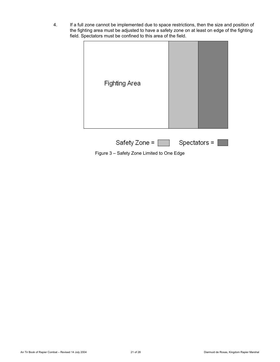4. If a full zone cannot be implemented due to space restrictions, then the size and position of the fighting area must be adjusted to have a safety zone on at least on edge of the fighting field. Spectators must be confined to this area of the field.



Figure 3 – Safety Zone Limited to One Edge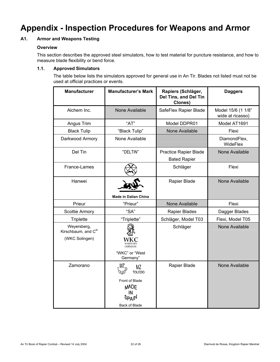# **Appendix - Inspection Procedures for Weapons and Armor**

# **A1. Armor and Weapons Testing**

#### **Overview**

This section describes the approved steel simulators, how to test material for puncture resistance, and how to measure blade flexibility or bend force.

### **1.1. Approved Simulators**

The table below lists the simulators approved for general use in An Tir. Blades not listed must not be used at official practices or events.

| <b>Manufacturer's Mark</b><br><b>Manufacturer</b>    |                                                                                                    | Rapiers (Schläger,<br>Del Tins, and Del Tin<br>Clones) | <b>Daggers</b>                         |
|------------------------------------------------------|----------------------------------------------------------------------------------------------------|--------------------------------------------------------|----------------------------------------|
| Alchem Inc.                                          | None Available                                                                                     | SafeFlex Rapier Blade                                  | Model 15/6 (1 1/8"<br>wide at ricasso) |
| Angus Trim                                           | "AT"                                                                                               | Model DDPR01                                           | Model AT1691                           |
| <b>Black Tulip</b>                                   | "Black Tulip"                                                                                      | None Available                                         | Flexi                                  |
| Darkwood Armory                                      | None Available                                                                                     |                                                        | DiamondFlex,<br>WideFlex               |
| Del Tin                                              | "DELTIN"                                                                                           | Practice Rapier Blade<br><b>Bated Rapier</b>           | None Available                         |
| France-Lames                                         |                                                                                                    | Schläger                                               | Flexi                                  |
| Hanwei                                               | <b>Made in Dalian China</b>                                                                        | Rapier Blade                                           | None Available                         |
| Prieur                                               | "Prieur"                                                                                           | <b>None Available</b>                                  | Flexi                                  |
| Scottie Armory                                       | "SA"                                                                                               | Rapier Blades                                          | Dagger Blades                          |
| <b>Triplette</b>                                     | "Triplette"                                                                                        | Schläger, Model T03                                    | Flexi, Model T05                       |
| Weyersberg,<br>Kirschbaum, and Cie<br>(WKC Solingen) | <b>GERMANY</b><br>"WKC" or "West<br>Germany"                                                       | Schläger                                               | None Available                         |
| Zamorano                                             | ΜZ<br>ΜZ<br><b>TOLEDO</b><br>Front of Blade<br><b>MADE</b><br><b>SPAIN</b><br><b>Back of Blade</b> | Rapier Blade                                           | None Available                         |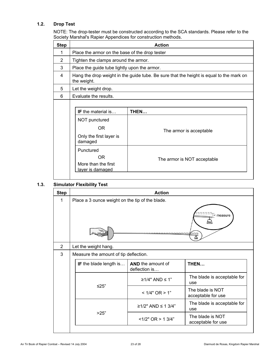# **1.2. Drop Test**

NOTE: The drop-tester must be constructed according to the SCA standards. Please refer to the Society Marshal's Rapier Appendices for construction methods.

| <b>Step</b> | <b>Action</b>                                                                                                                                                 |                                                                                         |  |  |
|-------------|---------------------------------------------------------------------------------------------------------------------------------------------------------------|-----------------------------------------------------------------------------------------|--|--|
| 1           |                                                                                                                                                               | Place the armor on the base of the drop tester                                          |  |  |
| 2           | Tighten the clamps around the armor.                                                                                                                          |                                                                                         |  |  |
| 3           | Place the guide tube lightly upon the armor.                                                                                                                  |                                                                                         |  |  |
| 4           | the weight.                                                                                                                                                   | Hang the drop weight in the guide tube. Be sure that the height is equal to the mark on |  |  |
| 5           | Let the weight drop.                                                                                                                                          |                                                                                         |  |  |
| 6           | Evaluate the results.                                                                                                                                         |                                                                                         |  |  |
|             | <b>IF</b> the material is<br>THEN<br>NOT punctured<br>OR.<br>Only the first layer is<br>damaged<br>Punctured<br>0R<br>More than the first<br>layer is damaged | The armor is acceptable<br>The armor is NOT acceptable                                  |  |  |

#### **1.3. Simulator Flexibility Test**

| <b>Step</b>    | <b>Action</b>                                   |                                    |                                        |
|----------------|-------------------------------------------------|------------------------------------|----------------------------------------|
| 1              | Place a 3 ounce weight on the tip of the blade. |                                    |                                        |
|                |                                                 |                                    | $\overline{ }$ measure                 |
| $\overline{2}$ | Let the weight hang.                            |                                    |                                        |
| 3              | Measure the amount of tip deflection.           |                                    |                                        |
|                | IF the blade length is                          | AND the amount of<br>deflection is | THEN                                   |
|                |                                                 | $\geq$ 1/4" AND $\leq$ 1"          | The blade is acceptable for<br>use     |
|                | $≤25"$                                          | < 1/4" OR > 1"                     | The blade is NOT<br>acceptable for use |
|                |                                                 | ≥1/2" AND ≤ 13/4"                  | The blade is acceptable for<br>use     |
|                | >25"                                            | $<1/2$ " OR > 1 3/4"               | The blade is NOT<br>acceptable for use |
|                |                                                 |                                    |                                        |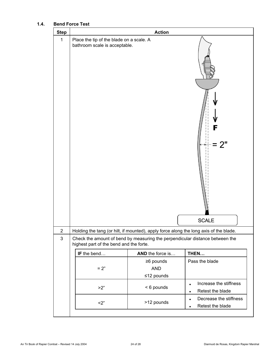# **1.4. Bend Force Test**

| $\mathbf{1}$<br>Place the tip of the blade on a scale. A<br>bathroom scale is acceptable.                                                 |
|-------------------------------------------------------------------------------------------------------------------------------------------|
| 2"<br><b>SCALE</b>                                                                                                                        |
| $\overline{2}$<br>Holding the tang (or hilt, if mounted), apply force along the long axis of the blade.                                   |
| $\mathfrak{B}$<br>Check the amount of bend by measuring the perpendicular distance between the<br>highest part of the bend and the forte. |
| IF the bend<br>AND the force is<br>THEN                                                                                                   |
| Pass the blade<br>$\geq 6$ pounds                                                                                                         |
| $= 2"$<br><b>AND</b>                                                                                                                      |
| $≤12$ pounds                                                                                                                              |
| Increase the stiffness<br>$\bullet$<br>< 6 pounds<br>>2"<br>Retest the blade<br>$\bullet$                                                 |
| Decrease the stiffness<br>$\bullet$<br>>12 pounds<br>2"<br>Retest the blade<br>$\bullet$                                                  |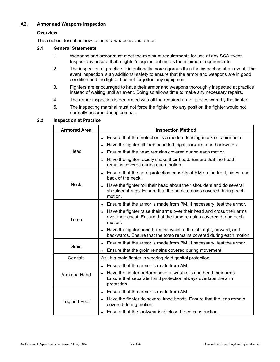# **A2. Armor and Weapons Inspection**

#### **Overview**

This section describes how to inspect weapons and armor.

#### **2.1. General Statements**

- 1. Weapons and armor must meet the minimum requirements for use at any SCA event. Inspections ensure that a fighter's equipment meets the minimum requirements.
- 2. The inspection at practice is intentionally more rigorous than the inspection at an event. The event inspection is an additional safety to ensure that the armor and weapons are in good condition and the fighter has not forgotten any equipment.
- 3. Fighters are encouraged to have their armor and weapons thoroughly inspected at practice instead of waiting until an event. Doing so allows time to make any necessary repairs.
- 4. The armor inspection is performed with all the required armor pieces worn by the fighter.
- 5. The inspecting marshal must not force the fighter into any position the fighter would not normally assume during combat.

#### **2.2. Inspection at Practice**

| <b>Armored Area</b> | <b>Inspection Method</b>                                                                                                                                 |
|---------------------|----------------------------------------------------------------------------------------------------------------------------------------------------------|
|                     | Ensure that the protection is a modern fencing mask or rapier helm.<br>Have the fighter tilt their head left, right, forward, and backwards.             |
| Head                | Ensure that the head remains covered during each motion.                                                                                                 |
|                     | Have the fighter rapidly shake their head. Ensure that the head<br>remains covered during each motion.                                                   |
|                     | Ensure that the neck protection consists of RM on the front, sides, and<br>back of the neck.                                                             |
| <b>Neck</b>         | Have the fighter roll their head about their shoulders and do several<br>shoulder shrugs. Ensure that the neck remains covered during each<br>motion.    |
|                     | Ensure that the armor is made from PM. If necessary, test the armor.                                                                                     |
| Torso               | Have the fighter raise their arms over their head and cross their arms<br>over their chest. Ensure that the torso remains covered during each<br>motion. |
|                     | Have the fighter bend from the waist to the left, right, forward, and<br>backwards. Ensure that the torso remains covered during each motion.            |
| Groin               | Ensure that the armor is made from PM. If necessary, test the armor.                                                                                     |
|                     | Ensure that the groin remains covered during movement.                                                                                                   |
| Genitals            | Ask if a male fighter is wearing rigid genital protection.                                                                                               |
|                     | Ensure that the armor is made from AM.                                                                                                                   |
| Arm and Hand        | Have the fighter perform several wrist rolls and bend their arms.<br>Ensure that separate hand protection always overlaps the arm<br>protection.         |
|                     | Ensure that the armor is made from AM.                                                                                                                   |
| Leg and Foot        | Have the fighter do several knee bends. Ensure that the legs remain<br>covered during motion.                                                            |
|                     | Ensure that the footwear is of closed-toed construction.                                                                                                 |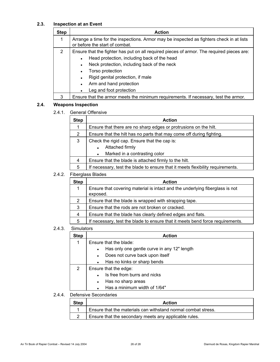# **2.3. Inspection at an Event**

| <b>Step</b> | <b>Action</b>                                                                                                                                                                                                                                                                                                                                                                        |  |
|-------------|--------------------------------------------------------------------------------------------------------------------------------------------------------------------------------------------------------------------------------------------------------------------------------------------------------------------------------------------------------------------------------------|--|
|             | Arrange a time for the inspections. Armor may be inspected as fighters check in at lists<br>or before the start of combat.                                                                                                                                                                                                                                                           |  |
| 2           | Ensure that the fighter has put on all required pieces of armor. The required pieces are:<br>Head protection, including back of the head<br>$\bullet$<br>Neck protection, including back of the neck<br>$\bullet$<br>Torso protection<br>$\bullet$<br>Rigid genital protection, if male<br>$\bullet$<br>Arm and hand protection<br>$\bullet$<br>Leg and foot protection<br>$\bullet$ |  |
| З           | Ensure that the armor meets the minimum requirements. If necessary, test the armor.                                                                                                                                                                                                                                                                                                  |  |

# **2.4. Weapons Inspection**

2.4.1. General Offensive

| <b>Step</b>          | <b>Action</b>                                                                  |  |
|----------------------|--------------------------------------------------------------------------------|--|
| 1                    | Ensure that there are no sharp edges or protrusions on the hilt.               |  |
| $\mathbf{2}^{\circ}$ | Ensure that the hilt has no parts that may come off during fighting.           |  |
| 3                    | Check the rigid cap. Ensure that the cap is:                                   |  |
|                      | Attached firmly<br>$\bullet$                                                   |  |
|                      | Marked in a contrasting color                                                  |  |
| 4                    | Ensure that the blade is attached firmly to the hilt.                          |  |
| 5                    | If necessary, test the blade to ensure that it meets flexibility requirements. |  |

#### 2.4.2. Fiberglass Blades

| <b>Action</b>                                                                            |
|------------------------------------------------------------------------------------------|
| Ensure that covering material is intact and the underlying fiberglass is not<br>exposed. |
| Ensure that the blade is wrapped with strapping tape.                                    |
| Ensure that the rods are not broken or cracked.                                          |
| Ensure that the blade has clearly defined edges and flats.                               |
| If necessary, test the blade to ensure that it meets bend force requirements.            |
|                                                                                          |

#### 2.4.3. Simulators

| <b>Step</b> | <b>Action</b>                |                                             |
|-------------|------------------------------|---------------------------------------------|
| 1           | Ensure that the blade:       |                                             |
|             |                              | Has only one gentle curve in any 12" length |
|             | $\bullet$                    | Does not curve back upon itself             |
|             |                              | Has no kinks or sharp bends                 |
| 2           | Ensure that the edge:        |                                             |
|             | Is free from burrs and nicks |                                             |
|             | $\bullet$                    | Has no sharp areas                          |
|             |                              | Has a minimum width of 1/64"                |
|             |                              |                                             |

#### 2.4.4. Defensive Secondaries

| <b>Step</b> | Action                                                        |
|-------------|---------------------------------------------------------------|
|             | Ensure that the materials can withstand normal combat stress. |
|             | Ensure that the secondary meets any applicable rules.         |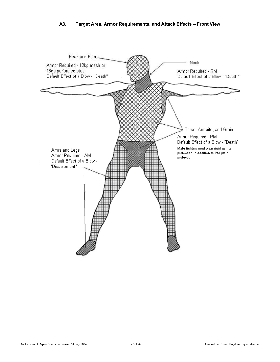# **A3. Target Area, Armor Requirements, and Attack Effects – Front View**